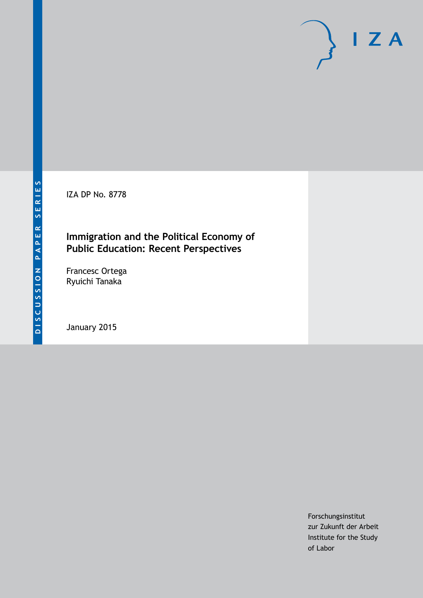IZA DP No. 8778

## **Immigration and the Political Economy of Public Education: Recent Perspectives**

Francesc Ortega Ryuichi Tanaka

January 2015

Forschungsinstitut zur Zukunft der Arbeit Institute for the Study of Labor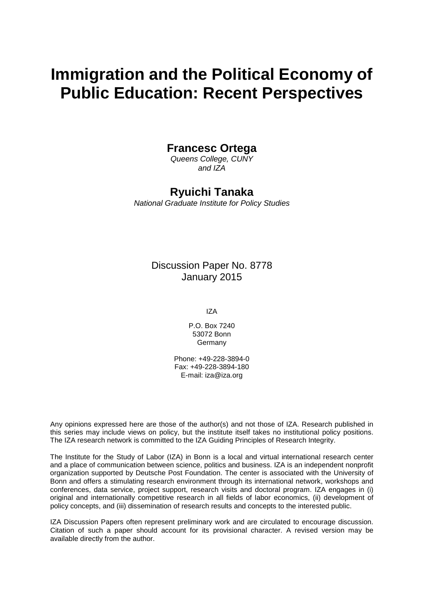# **Immigration and the Political Economy of Public Education: Recent Perspectives**

## **Francesc Ortega**

*Queens College, CUNY and IZA*

## **Ryuichi Tanaka**

*National Graduate Institute for Policy Studies*

Discussion Paper No. 8778 January 2015

IZA

P.O. Box 7240 53072 Bonn Germany

Phone: +49-228-3894-0 Fax: +49-228-3894-180 E-mail: [iza@iza.org](mailto:iza@iza.org)

Any opinions expressed here are those of the author(s) and not those of IZA. Research published in this series may include views on policy, but the institute itself takes no institutional policy positions. The IZA research network is committed to the IZA Guiding Principles of Research Integrity.

The Institute for the Study of Labor (IZA) in Bonn is a local and virtual international research center and a place of communication between science, politics and business. IZA is an independent nonprofit organization supported by Deutsche Post Foundation. The center is associated with the University of Bonn and offers a stimulating research environment through its international network, workshops and conferences, data service, project support, research visits and doctoral program. IZA engages in (i) original and internationally competitive research in all fields of labor economics, (ii) development of policy concepts, and (iii) dissemination of research results and concepts to the interested public.

IZA Discussion Papers often represent preliminary work and are circulated to encourage discussion. Citation of such a paper should account for its provisional character. A revised version may be available directly from the author.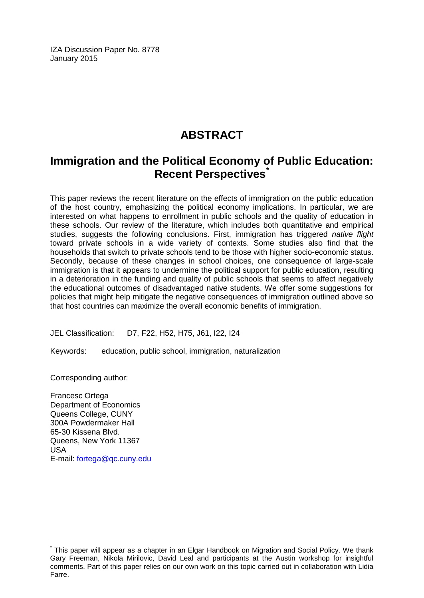IZA Discussion Paper No. 8778 January 2015

## **ABSTRACT**

## **Immigration and the Political Economy of Public Education: Recent Perspectives[\\*](#page-2-0)**

This paper reviews the recent literature on the effects of immigration on the public education of the host country, emphasizing the political economy implications. In particular, we are interested on what happens to enrollment in public schools and the quality of education in these schools. Our review of the literature, which includes both quantitative and empirical studies, suggests the following conclusions. First, immigration has triggered *native flight* toward private schools in a wide variety of contexts. Some studies also find that the households that switch to private schools tend to be those with higher socio-economic status. Secondly, because of these changes in school choices, one consequence of large-scale immigration is that it appears to undermine the political support for public education, resulting in a deterioration in the funding and quality of public schools that seems to affect negatively the educational outcomes of disadvantaged native students. We offer some suggestions for policies that might help mitigate the negative consequences of immigration outlined above so that host countries can maximize the overall economic benefits of immigration.

JEL Classification: D7, F22, H52, H75, J61, I22, I24

Keywords: education, public school, immigration, naturalization

Corresponding author:

Francesc Ortega Department of Economics Queens College, CUNY 300A Powdermaker Hall 65-30 Kissena Blvd. Queens, New York 11367 USA E-mail: [fortega@qc.cuny.edu](mailto:fortega@qc.cuny.edu)

<span id="page-2-0"></span>This paper will appear as a chapter in an Elgar Handbook on Migration and Social Policy. We thank Gary Freeman, Nikola Mirilovic, David Leal and participants at the Austin workshop for insightful comments. Part of this paper relies on our own work on this topic carried out in collaboration with Lidia Farre.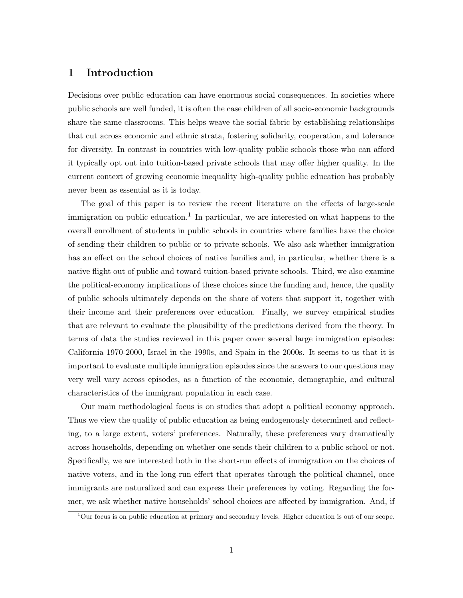## 1 Introduction

Decisions over public education can have enormous social consequences. In societies where public schools are well funded, it is often the case children of all socio-economic backgrounds share the same classrooms. This helps weave the social fabric by establishing relationships that cut across economic and ethnic strata, fostering solidarity, cooperation, and tolerance for diversity. In contrast in countries with low-quality public schools those who can afford it typically opt out into tuition-based private schools that may offer higher quality. In the current context of growing economic inequality high-quality public education has probably never been as essential as it is today.

The goal of this paper is to review the recent literature on the effects of large-scale immigration on public education.<sup>1</sup> In particular, we are interested on what happens to the overall enrollment of students in public schools in countries where families have the choice of sending their children to public or to private schools. We also ask whether immigration has an effect on the school choices of native families and, in particular, whether there is a native flight out of public and toward tuition-based private schools. Third, we also examine the political-economy implications of these choices since the funding and, hence, the quality of public schools ultimately depends on the share of voters that support it, together with their income and their preferences over education. Finally, we survey empirical studies that are relevant to evaluate the plausibility of the predictions derived from the theory. In terms of data the studies reviewed in this paper cover several large immigration episodes: California 1970-2000, Israel in the 1990s, and Spain in the 2000s. It seems to us that it is important to evaluate multiple immigration episodes since the answers to our questions may very well vary across episodes, as a function of the economic, demographic, and cultural characteristics of the immigrant population in each case.

Our main methodological focus is on studies that adopt a political economy approach. Thus we view the quality of public education as being endogenously determined and reflecting, to a large extent, voters' preferences. Naturally, these preferences vary dramatically across households, depending on whether one sends their children to a public school or not. Specifically, we are interested both in the short-run effects of immigration on the choices of native voters, and in the long-run effect that operates through the political channel, once immigrants are naturalized and can express their preferences by voting. Regarding the former, we ask whether native households' school choices are affected by immigration. And, if

<sup>1</sup>Our focus is on public education at primary and secondary levels. Higher education is out of our scope.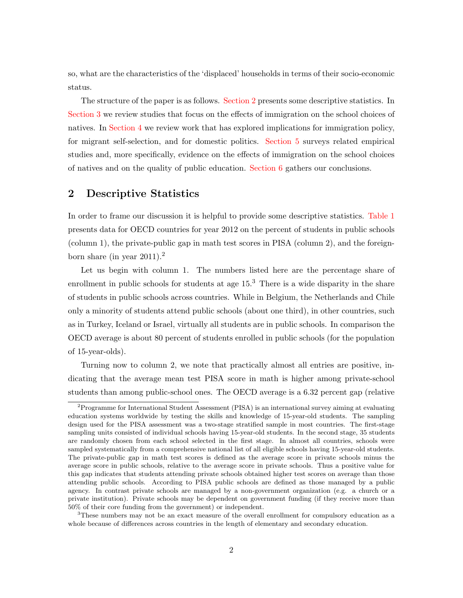so, what are the characteristics of the 'displaced' households in terms of their socio-economic status.

The structure of the paper is as follows. [Section 2](#page-4-0) presents some descriptive statistics. In [Section 3](#page-6-0) we review studies that focus on the effects of immigration on the school choices of natives. In [Section 4](#page-10-0) we review work that has explored implications for immigration policy, for migrant self-selection, and for domestic politics. [Section 5](#page-14-0) surveys related empirical studies and, more specifically, evidence on the effects of immigration on the school choices of natives and on the quality of public education. [Section 6](#page-17-0) gathers our conclusions.

### <span id="page-4-0"></span>2 Descriptive Statistics

In order to frame our discussion it is helpful to provide some descriptive statistics. [Table 1](#page-23-0) presents data for OECD countries for year 2012 on the percent of students in public schools (column 1), the private-public gap in math test scores in PISA (column 2), and the foreignborn share (in year 2011).<sup>2</sup>

Let us begin with column 1. The numbers listed here are the percentage share of enrollment in public schools for students at age  $15<sup>3</sup>$ . There is a wide disparity in the share of students in public schools across countries. While in Belgium, the Netherlands and Chile only a minority of students attend public schools (about one third), in other countries, such as in Turkey, Iceland or Israel, virtually all students are in public schools. In comparison the OECD average is about 80 percent of students enrolled in public schools (for the population of 15-year-olds).

Turning now to column 2, we note that practically almost all entries are positive, indicating that the average mean test PISA score in math is higher among private-school students than among public-school ones. The OECD average is a 6.32 percent gap (relative

<sup>2</sup>Programme for International Student Assessment (PISA) is an international survey aiming at evaluating education systems worldwide by testing the skills and knowledge of 15-year-old students. The sampling design used for the PISA assessment was a two-stage stratified sample in most countries. The first-stage sampling units consisted of individual schools having 15-year-old students. In the second stage, 35 students are randomly chosen from each school selected in the first stage. In almost all countries, schools were sampled systematically from a comprehensive national list of all eligible schools having 15-year-old students. The private-public gap in math test scores is defined as the average score in private schools minus the average score in public schools, relative to the average score in private schools. Thus a positive value for this gap indicates that students attending private schools obtained higher test scores on average than those attending public schools. According to PISA public schools are defined as those managed by a public agency. In contrast private schools are managed by a non-government organization (e.g. a church or a private institution). Private schools may be dependent on government funding (if they receive more than 50% of their core funding from the government) or independent.

<sup>3</sup>These numbers may not be an exact measure of the overall enrollment for compulsory education as a whole because of differences across countries in the length of elementary and secondary education.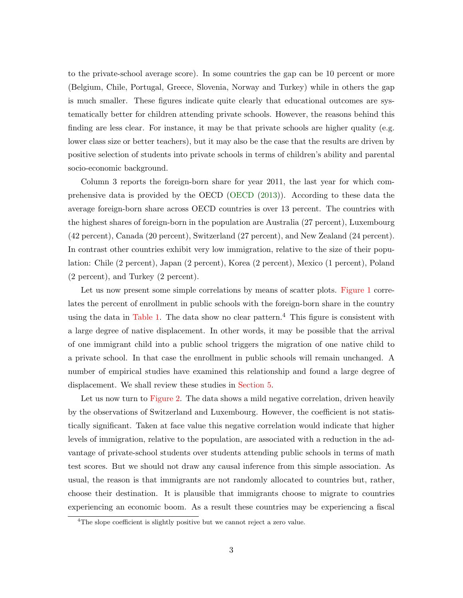to the private-school average score). In some countries the gap can be 10 percent or more (Belgium, Chile, Portugal, Greece, Slovenia, Norway and Turkey) while in others the gap is much smaller. These figures indicate quite clearly that educational outcomes are systematically better for children attending private schools. However, the reasons behind this finding are less clear. For instance, it may be that private schools are higher quality (e.g. lower class size or better teachers), but it may also be the case that the results are driven by positive selection of students into private schools in terms of children's ability and parental socio-economic background.

Column 3 reports the foreign-born share for year 2011, the last year for which comprehensive data is provided by the OECD [\(OECD](#page-21-0) [\(2013\)](#page-21-0)). According to these data the average foreign-born share across OECD countries is over 13 percent. The countries with the highest shares of foreign-born in the population are Australia (27 percent), Luxembourg (42 percent), Canada (20 percent), Switzerland (27 percent), and New Zealand (24 percent). In contrast other countries exhibit very low immigration, relative to the size of their population: Chile (2 percent), Japan (2 percent), Korea (2 percent), Mexico (1 percent), Poland (2 percent), and Turkey (2 percent).

Let us now present some simple correlations by means of scatter plots. [Figure 1](#page-24-0) correlates the percent of enrollment in public schools with the foreign-born share in the country using the data in [Table 1.](#page-23-0) The data show no clear pattern.<sup>4</sup> This figure is consistent with a large degree of native displacement. In other words, it may be possible that the arrival of one immigrant child into a public school triggers the migration of one native child to a private school. In that case the enrollment in public schools will remain unchanged. A number of empirical studies have examined this relationship and found a large degree of displacement. We shall review these studies in [Section 5.](#page-14-0)

Let us now turn to [Figure 2.](#page-24-1) The data shows a mild negative correlation, driven heavily by the observations of Switzerland and Luxembourg. However, the coefficient is not statistically significant. Taken at face value this negative correlation would indicate that higher levels of immigration, relative to the population, are associated with a reduction in the advantage of private-school students over students attending public schools in terms of math test scores. But we should not draw any causal inference from this simple association. As usual, the reason is that immigrants are not randomly allocated to countries but, rather, choose their destination. It is plausible that immigrants choose to migrate to countries experiencing an economic boom. As a result these countries may be experiencing a fiscal

<sup>&</sup>lt;sup>4</sup>The slope coefficient is slightly positive but we cannot reject a zero value.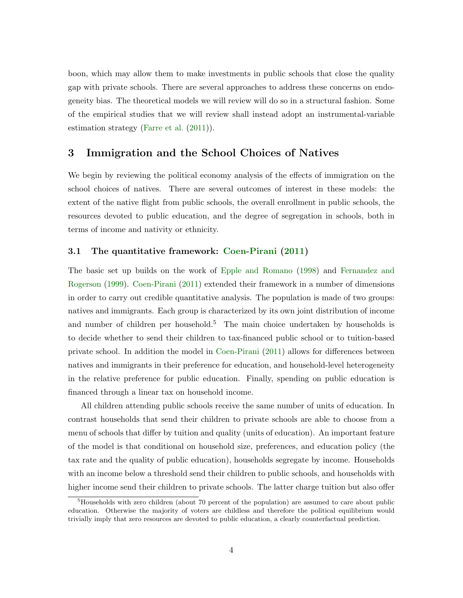boon, which may allow them to make investments in public schools that close the quality gap with private schools. There are several approaches to address these concerns on endogeneity bias. The theoretical models we will review will do so in a structural fashion. Some of the empirical studies that we will review shall instead adopt an instrumental-variable estimation strategy [\(Farre et al.](#page-19-0) [\(2011\)](#page-19-0)).

## <span id="page-6-0"></span>3 Immigration and the School Choices of Natives

We begin by reviewing the political economy analysis of the effects of immigration on the school choices of natives. There are several outcomes of interest in these models: the extent of the native flight from public schools, the overall enrollment in public schools, the resources devoted to public education, and the degree of segregation in schools, both in terms of income and nativity or ethnicity.

#### 3.1 The quantitative framework: [Coen-Pirani](#page-19-1) [\(2011\)](#page-19-1)

The basic set up builds on the work of [Epple and Romano](#page-19-2) [\(1998\)](#page-19-2) and [Fernandez and](#page-20-0) [Rogerson](#page-20-0) [\(1999\)](#page-20-0). [Coen-Pirani](#page-19-1) [\(2011\)](#page-19-1) extended their framework in a number of dimensions in order to carry out credible quantitative analysis. The population is made of two groups: natives and immigrants. Each group is characterized by its own joint distribution of income and number of children per household.<sup>5</sup> The main choice undertaken by households is to decide whether to send their children to tax-financed public school or to tuition-based private school. In addition the model in [Coen-Pirani](#page-19-1) [\(2011\)](#page-19-1) allows for differences between natives and immigrants in their preference for education, and household-level heterogeneity in the relative preference for public education. Finally, spending on public education is financed through a linear tax on household income.

All children attending public schools receive the same number of units of education. In contrast households that send their children to private schools are able to choose from a menu of schools that differ by tuition and quality (units of education). An important feature of the model is that conditional on household size, preferences, and education policy (the tax rate and the quality of public education), households segregate by income. Households with an income below a threshold send their children to public schools, and households with higher income send their children to private schools. The latter charge tuition but also offer

 ${}^{5}$ Households with zero children (about 70 percent of the population) are assumed to care about public education. Otherwise the majority of voters are childless and therefore the political equilibrium would trivially imply that zero resources are devoted to public education, a clearly counterfactual prediction.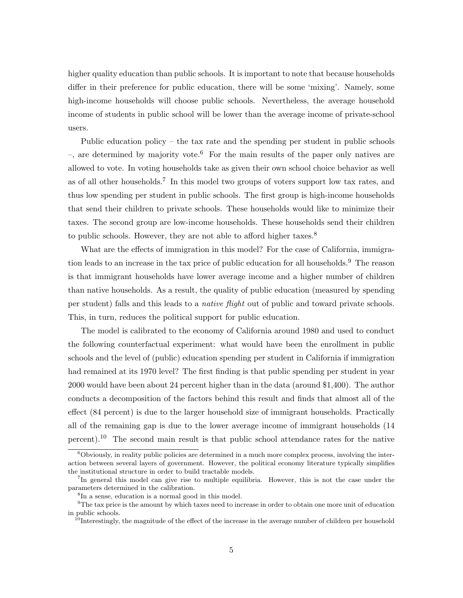higher quality education than public schools. It is important to note that because households differ in their preference for public education, there will be some 'mixing'. Namely, some high-income households will choose public schools. Nevertheless, the average household income of students in public school will be lower than the average income of private-school users.

Public education policy – the tax rate and the spending per student in public schools –, are determined by majority vote.<sup>6</sup> For the main results of the paper only natives are allowed to vote. In voting households take as given their own school choice behavior as well as of all other households.<sup>7</sup> In this model two groups of voters support low tax rates, and thus low spending per student in public schools. The first group is high-income households that send their children to private schools. These households would like to minimize their taxes. The second group are low-income households. These households send their children to public schools. However, they are not able to afford higher taxes.<sup>8</sup>

What are the effects of immigration in this model? For the case of California, immigration leads to an increase in the tax price of public education for all households.<sup>9</sup> The reason is that immigrant households have lower average income and a higher number of children than native households. As a result, the quality of public education (measured by spending per student) falls and this leads to a native flight out of public and toward private schools. This, in turn, reduces the political support for public education.

The model is calibrated to the economy of California around 1980 and used to conduct the following counterfactual experiment: what would have been the enrollment in public schools and the level of (public) education spending per student in California if immigration had remained at its 1970 level? The first finding is that public spending per student in year 2000 would have been about 24 percent higher than in the data (around \$1,400). The author conducts a decomposition of the factors behind this result and finds that almost all of the effect (84 percent) is due to the larger household size of immigrant households. Practically all of the remaining gap is due to the lower average income of immigrant households (14 percent).<sup>10</sup> The second main result is that public school attendance rates for the native

 $6$ Obviously, in reality public policies are determined in a much more complex process, involving the interaction between several layers of government. However, the political economy literature typically simplifies the institutional structure in order to build tractable models.

<sup>&</sup>lt;sup>7</sup>In general this model can give rise to multiple equilibria. However, this is not the case under the parameters determined in the calibration.

<sup>8</sup> In a sense, education is a normal good in this model.

<sup>&</sup>lt;sup>9</sup>The tax price is the amount by which taxes need to increase in order to obtain one more unit of education in public schools.

 $10$ Interestingly, the magnitude of the effect of the increase in the average number of children per household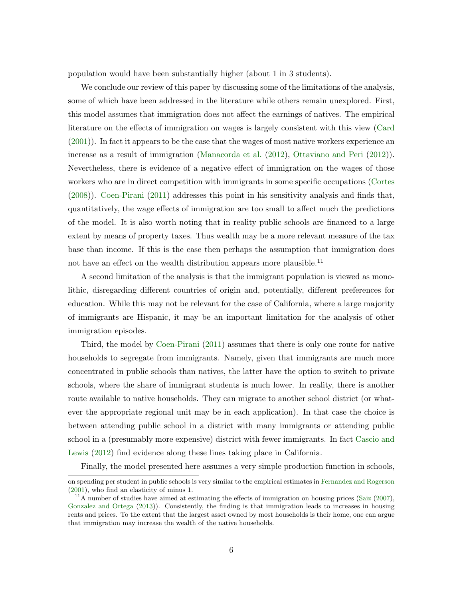population would have been substantially higher (about 1 in 3 students).

We conclude our review of this paper by discussing some of the limitations of the analysis, some of which have been addressed in the literature while others remain unexplored. First, this model assumes that immigration does not affect the earnings of natives. The empirical literature on the effects of immigration on wages is largely consistent with this view [\(Card](#page-19-3) [\(2001\)](#page-19-3)). In fact it appears to be the case that the wages of most native workers experience an increase as a result of immigration [\(Manacorda et al.](#page-21-1) [\(2012\)](#page-21-1), [Ottaviano and Peri](#page-21-2) [\(2012\)](#page-21-2)). Nevertheless, there is evidence of a negative effect of immigration on the wages of those workers who are in direct competition with immigrants in some specific occupations [\(Cortes](#page-19-4) [\(2008\)](#page-19-4)). [Coen-Pirani](#page-19-1) [\(2011\)](#page-19-1) addresses this point in his sensitivity analysis and finds that, quantitatively, the wage effects of immigration are too small to affect much the predictions of the model. It is also worth noting that in reality public schools are financed to a large extent by means of property taxes. Thus wealth may be a more relevant measure of the tax base than income. If this is the case then perhaps the assumption that immigration does not have an effect on the wealth distribution appears more plausible.<sup>11</sup>

A second limitation of the analysis is that the immigrant population is viewed as monolithic, disregarding different countries of origin and, potentially, different preferences for education. While this may not be relevant for the case of California, where a large majority of immigrants are Hispanic, it may be an important limitation for the analysis of other immigration episodes.

Third, the model by [Coen-Pirani](#page-19-1) [\(2011\)](#page-19-1) assumes that there is only one route for native households to segregate from immigrants. Namely, given that immigrants are much more concentrated in public schools than natives, the latter have the option to switch to private schools, where the share of immigrant students is much lower. In reality, there is another route available to native households. They can migrate to another school district (or whatever the appropriate regional unit may be in each application). In that case the choice is between attending public school in a district with many immigrants or attending public school in a (presumably more expensive) district with fewer immigrants. In fact [Cascio and](#page-19-5) [Lewis](#page-19-5) [\(2012\)](#page-19-5) find evidence along these lines taking place in California.

Finally, the model presented here assumes a very simple production function in schools,

on spending per student in public schools is very similar to the empirical estimates in [Fernandez and Rogerson](#page-20-1) [\(2001\)](#page-20-1), who find an elasticity of minus 1.

 $11\text{Å}$  number of studies have aimed at estimating the effects of immigration on housing prices [\(Saiz](#page-21-3) [\(2007\)](#page-21-3), [Gonzalez and Ortega](#page-20-2) [\(2013\)](#page-20-2)). Consistently, the finding is that immigration leads to increases in housing rents and prices. To the extent that the largest asset owned by most households is their home, one can argue that immigration may increase the wealth of the native households.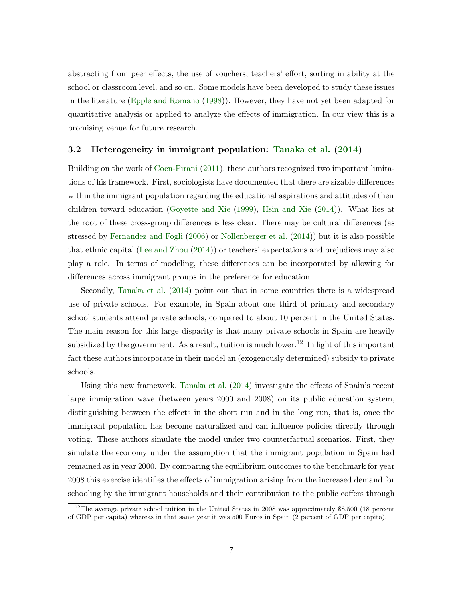abstracting from peer effects, the use of vouchers, teachers' effort, sorting in ability at the school or classroom level, and so on. Some models have been developed to study these issues in the literature [\(Epple and Romano](#page-19-2) [\(1998\)](#page-19-2)). However, they have not yet been adapted for quantitative analysis or applied to analyze the effects of immigration. In our view this is a promising venue for future research.

#### 3.2 Heterogeneity in immigrant population: [Tanaka et al.](#page-22-0) [\(2014\)](#page-22-0)

Building on the work of [Coen-Pirani](#page-19-1) [\(2011\)](#page-19-1), these authors recognized two important limitations of his framework. First, sociologists have documented that there are sizable differences within the immigrant population regarding the educational aspirations and attitudes of their children toward education [\(Goyette and Xie](#page-20-3) [\(1999\)](#page-20-3), [Hsin and Xie](#page-20-4) [\(2014\)](#page-20-4)). What lies at the root of these cross-group differences is less clear. There may be cultural differences (as stressed by [Fernandez and Fogli](#page-20-5) [\(2006\)](#page-20-5) or [Nollenberger et al.](#page-21-4) [\(2014\)](#page-21-4)) but it is also possible that ethnic capital [\(Lee and Zhou](#page-20-6) [\(2014\)](#page-20-6)) or teachers' expectations and prejudices may also play a role. In terms of modeling, these differences can be incorporated by allowing for differences across immigrant groups in the preference for education.

Secondly, [Tanaka et al.](#page-22-0) [\(2014\)](#page-22-0) point out that in some countries there is a widespread use of private schools. For example, in Spain about one third of primary and secondary school students attend private schools, compared to about 10 percent in the United States. The main reason for this large disparity is that many private schools in Spain are heavily subsidized by the government. As a result, tuition is much lower.<sup>12</sup> In light of this important fact these authors incorporate in their model an (exogenously determined) subsidy to private schools.

Using this new framework, [Tanaka et al.](#page-22-0) [\(2014\)](#page-22-0) investigate the effects of Spain's recent large immigration wave (between years 2000 and 2008) on its public education system, distinguishing between the effects in the short run and in the long run, that is, once the immigrant population has become naturalized and can influence policies directly through voting. These authors simulate the model under two counterfactual scenarios. First, they simulate the economy under the assumption that the immigrant population in Spain had remained as in year 2000. By comparing the equilibrium outcomes to the benchmark for year 2008 this exercise identifies the effects of immigration arising from the increased demand for schooling by the immigrant households and their contribution to the public coffers through

<sup>&</sup>lt;sup>12</sup>The average private school tuition in the United States in 2008 was approximately  $$8,500$  (18 percent of GDP per capita) whereas in that same year it was 500 Euros in Spain (2 percent of GDP per capita).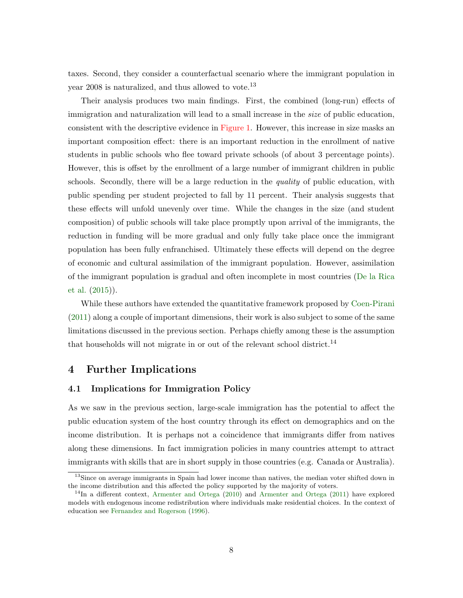taxes. Second, they consider a counterfactual scenario where the immigrant population in year 2008 is naturalized, and thus allowed to vote.<sup>13</sup>

Their analysis produces two main findings. First, the combined (long-run) effects of immigration and naturalization will lead to a small increase in the size of public education, consistent with the descriptive evidence in [Figure 1.](#page-24-0) However, this increase in size masks an important composition effect: there is an important reduction in the enrollment of native students in public schools who flee toward private schools (of about 3 percentage points). However, this is offset by the enrollment of a large number of immigrant children in public schools. Secondly, there will be a large reduction in the *quality* of public education, with public spending per student projected to fall by 11 percent. Their analysis suggests that these effects will unfold unevenly over time. While the changes in the size (and student composition) of public schools will take place promptly upon arrival of the immigrants, the reduction in funding will be more gradual and only fully take place once the immigrant population has been fully enfranchised. Ultimately these effects will depend on the degree of economic and cultural assimilation of the immigrant population. However, assimilation of the immigrant population is gradual and often incomplete in most countries [\(De la Rica](#page-20-7) [et al.](#page-20-7) [\(2015\)](#page-20-7)).

While these authors have extended the quantitative framework proposed by [Coen-Pirani](#page-19-1) [\(2011\)](#page-19-1) along a couple of important dimensions, their work is also subject to some of the same limitations discussed in the previous section. Perhaps chiefly among these is the assumption that households will not migrate in or out of the relevant school district.<sup>14</sup>

### <span id="page-10-0"></span>4 Further Implications

#### 4.1 Implications for Immigration Policy

As we saw in the previous section, large-scale immigration has the potential to affect the public education system of the host country through its effect on demographics and on the income distribution. It is perhaps not a coincidence that immigrants differ from natives along these dimensions. In fact immigration policies in many countries attempt to attract immigrants with skills that are in short supply in those countries (e.g. Canada or Australia).

<sup>&</sup>lt;sup>13</sup>Since on average immigrants in Spain had lower income than natives, the median voter shifted down in the income distribution and this affected the policy supported by the majority of voters.

<sup>&</sup>lt;sup>14</sup>In a different context, [Armenter and Ortega](#page-19-7) [\(2010\)](#page-19-6) and Armenter and Ortega [\(2011\)](#page-19-7) have explored models with endogenous income redistribution where individuals make residential choices. In the context of education see [Fernandez and Rogerson](#page-20-8) [\(1996\)](#page-20-8).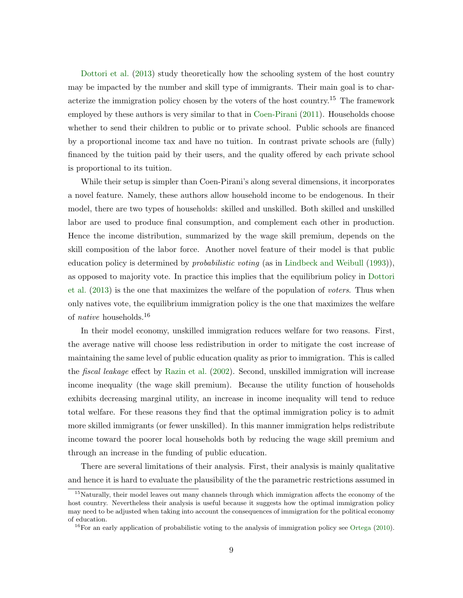[Dottori et al.](#page-19-8) [\(2013\)](#page-19-8) study theoretically how the schooling system of the host country may be impacted by the number and skill type of immigrants. Their main goal is to characterize the immigration policy chosen by the voters of the host country.<sup>15</sup> The framework employed by these authors is very similar to that in [Coen-Pirani](#page-19-1) [\(2011\)](#page-19-1). Households choose whether to send their children to public or to private school. Public schools are financed by a proportional income tax and have no tuition. In contrast private schools are (fully) financed by the tuition paid by their users, and the quality offered by each private school is proportional to its tuition.

While their setup is simpler than Coen-Pirani's along several dimensions, it incorporates a novel feature. Namely, these authors allow household income to be endogenous. In their model, there are two types of households: skilled and unskilled. Both skilled and unskilled labor are used to produce final consumption, and complement each other in production. Hence the income distribution, summarized by the wage skill premium, depends on the skill composition of the labor force. Another novel feature of their model is that public education policy is determined by *probabilistic voting* (as in [Lindbeck and Weibull](#page-21-5) [\(1993\)](#page-21-5)), as opposed to majority vote. In practice this implies that the equilibrium policy in [Dottori](#page-19-8) [et al.](#page-19-8) [\(2013\)](#page-19-8) is the one that maximizes the welfare of the population of voters. Thus when only natives vote, the equilibrium immigration policy is the one that maximizes the welfare of *native* households.<sup>16</sup>

In their model economy, unskilled immigration reduces welfare for two reasons. First, the average native will choose less redistribution in order to mitigate the cost increase of maintaining the same level of public education quality as prior to immigration. This is called the fiscal leakage effect by [Razin et al.](#page-21-6) [\(2002\)](#page-21-6). Second, unskilled immigration will increase income inequality (the wage skill premium). Because the utility function of households exhibits decreasing marginal utility, an increase in income inequality will tend to reduce total welfare. For these reasons they find that the optimal immigration policy is to admit more skilled immigrants (or fewer unskilled). In this manner immigration helps redistribute income toward the poorer local households both by reducing the wage skill premium and through an increase in the funding of public education.

There are several limitations of their analysis. First, their analysis is mainly qualitative and hence it is hard to evaluate the plausibility of the the parametric restrictions assumed in

<sup>&</sup>lt;sup>15</sup>Naturally, their model leaves out many channels through which immigration affects the economy of the host country. Nevertheless their analysis is useful because it suggests how the optimal immigration policy may need to be adjusted when taking into account the consequences of immigration for the political economy of education.

 $16$ For an early application of probabilistic voting to the analysis of immigration policy see [Ortega](#page-21-7) [\(2010\)](#page-21-7).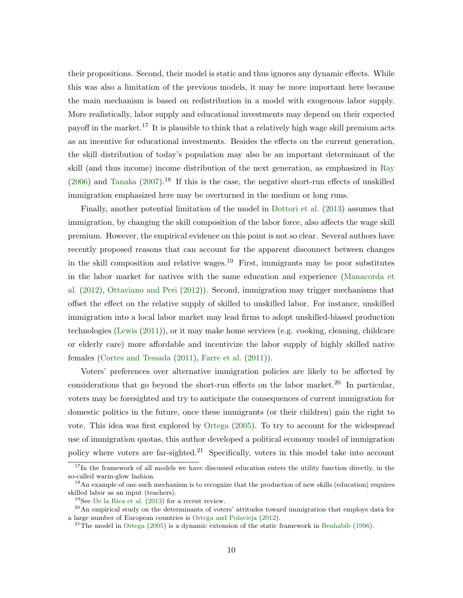their propositions. Second, their model is static and thus ignores any dynamic effects. While this was also a limitation of the previous models, it may be more important here because the main mechanism is based on redistribution in a model with exogenous labor supply. More realistically, labor supply and educational investments may depend on their expected payoff in the market.<sup>17</sup> It is plausible to think that a relatively high wage skill premium acts as an incentive for educational investments. Besides the effects on the current generation, the skill distribution of today's population may also be an important determinant of the skill (and thus income) income distribution of the next generation, as emphasized in [Ray](#page-21-8)  $(2006)$  and [Tanaka](#page-21-9)  $(2007)$ <sup>18</sup>. If this is the case, the negative short-run effects of unskilled immigration emphasized here may be overturned in the medium or long runs.

Finally, another potential limitation of the model in [Dottori et al.](#page-19-8) [\(2013\)](#page-19-8) assumes that immigration, by changing the skill composition of the labor force, also affects the wage skill premium. However, the empirical evidence on this point is not so clear. Several authors have recently proposed reasons that can account for the apparent disconnect between changes in the skill composition and relative wages.<sup>19</sup> First, immigrants may be poor substitutes in the labor market for natives with the same education and experience [\(Manacorda et](#page-21-1) [al.](#page-21-1) [\(2012\)](#page-21-1), [Ottaviano and Peri](#page-21-2) [\(2012\)](#page-21-2)). Second, immigration may trigger mechanisms that offset the effect on the relative supply of skilled to unskilled labor. For instance, unskilled immigration into a local labor market may lead firms to adopt unskilled-biased production technologies [\(Lewis](#page-21-10) [\(2011\)](#page-21-10)), or it may make home services (e.g. cooking, cleaning, childcare or elderly care) more affordable and incentivize the labor supply of highly skilled native females [\(Cortes and Tessada](#page-19-9) [\(2011\)](#page-19-9), [Farre et al.](#page-19-0) [\(2011\)](#page-19-0)).

Voters' preferences over alternative immigration policies are likely to be affected by considerations that go beyond the short-run effects on the labor market.<sup>20</sup> In particular, voters may be foresighted and try to anticipate the consequences of current immigration for domestic politics in the future, once these immigrants (or their children) gain the right to vote. This idea was first explored by [Ortega](#page-21-11) [\(2005\)](#page-21-11). To try to account for the widespread use of immigration quotas, this author developed a political economy model of immigration policy where voters are far-sighted.<sup>21</sup> Specifically, voters in this model take into account

 $17$ In the framework of all models we have discussed education enters the utility function directly, in the so-called warm-glow fashion.

<sup>&</sup>lt;sup>18</sup>An example of one such mechanism is to recognize that the production of new skills (education) requires skilled labor as an input (teachers).

<sup>&</sup>lt;sup>19</sup>See [De la Rica et al.](#page-20-9)  $(2013)$  for a recent review.

 $^{20}$ An empirical study on the determinants of voters' attitudes toward immigration that employs data for a large number of European countries is [Ortega and Polavieja](#page-21-12) [\(2012\)](#page-21-12).

<sup>&</sup>lt;sup>21</sup>The model in [Ortega](#page-21-11) [\(2005\)](#page-21-11) is a dynamic extension of the static framework in [Benhabib](#page-19-10) [\(1996\)](#page-19-10).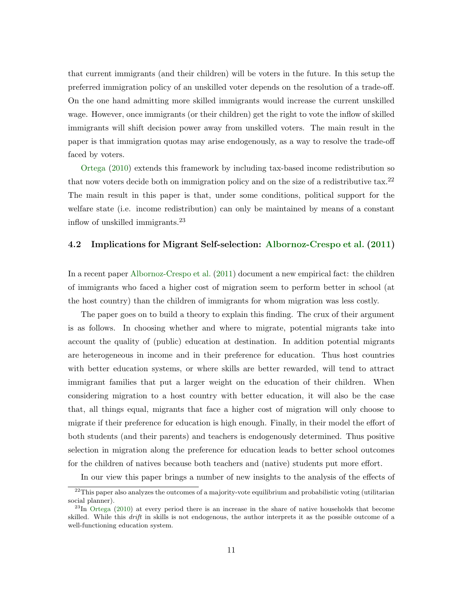that current immigrants (and their children) will be voters in the future. In this setup the preferred immigration policy of an unskilled voter depends on the resolution of a trade-off. On the one hand admitting more skilled immigrants would increase the current unskilled wage. However, once immigrants (or their children) get the right to vote the inflow of skilled immigrants will shift decision power away from unskilled voters. The main result in the paper is that immigration quotas may arise endogenously, as a way to resolve the trade-off faced by voters.

[Ortega](#page-21-7) [\(2010\)](#page-21-7) extends this framework by including tax-based income redistribution so that now voters decide both on immigration policy and on the size of a redistributive tax.<sup>22</sup> The main result in this paper is that, under some conditions, political support for the welfare state (i.e. income redistribution) can only be maintained by means of a constant inflow of unskilled immigrants.<sup>23</sup>

#### 4.2 Implications for Migrant Self-selection: [Albornoz-Crespo et al.](#page-19-11) [\(2011\)](#page-19-11)

In a recent paper [Albornoz-Crespo et al.](#page-19-11) [\(2011\)](#page-19-11) document a new empirical fact: the children of immigrants who faced a higher cost of migration seem to perform better in school (at the host country) than the children of immigrants for whom migration was less costly.

The paper goes on to build a theory to explain this finding. The crux of their argument is as follows. In choosing whether and where to migrate, potential migrants take into account the quality of (public) education at destination. In addition potential migrants are heterogeneous in income and in their preference for education. Thus host countries with better education systems, or where skills are better rewarded, will tend to attract immigrant families that put a larger weight on the education of their children. When considering migration to a host country with better education, it will also be the case that, all things equal, migrants that face a higher cost of migration will only choose to migrate if their preference for education is high enough. Finally, in their model the effort of both students (and their parents) and teachers is endogenously determined. Thus positive selection in migration along the preference for education leads to better school outcomes for the children of natives because both teachers and (native) students put more effort.

In our view this paper brings a number of new insights to the analysis of the effects of

 $22$ This paper also analyzes the outcomes of a majority-vote equilibrium and probabilistic voting (utilitarian social planner).

 $^{23}$ In [Ortega](#page-21-7) [\(2010\)](#page-21-7) at every period there is an increase in the share of native households that become skilled. While this *drift* in skills is not endogenous, the author interprets it as the possible outcome of a well-functioning education system.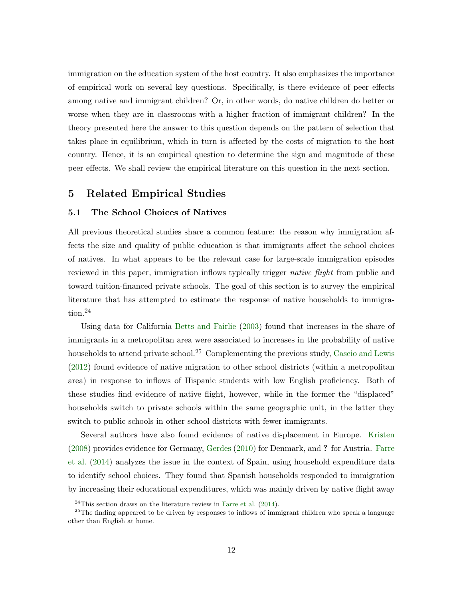immigration on the education system of the host country. It also emphasizes the importance of empirical work on several key questions. Specifically, is there evidence of peer effects among native and immigrant children? Or, in other words, do native children do better or worse when they are in classrooms with a higher fraction of immigrant children? In the theory presented here the answer to this question depends on the pattern of selection that takes place in equilibrium, which in turn is affected by the costs of migration to the host country. Hence, it is an empirical question to determine the sign and magnitude of these peer effects. We shall review the empirical literature on this question in the next section.

### <span id="page-14-0"></span>5 Related Empirical Studies

#### 5.1 The School Choices of Natives

All previous theoretical studies share a common feature: the reason why immigration affects the size and quality of public education is that immigrants affect the school choices of natives. In what appears to be the relevant case for large-scale immigration episodes reviewed in this paper, immigration inflows typically trigger *native flight* from public and toward tuition-financed private schools. The goal of this section is to survey the empirical literature that has attempted to estimate the response of native households to immigra- $\,$ tion. $^{24}$ 

Using data for California [Betts and Fairlie](#page-19-12) [\(2003\)](#page-19-12) found that increases in the share of immigrants in a metropolitan area were associated to increases in the probability of native households to attend private school.<sup>25</sup> Complementing the previous study, [Cascio and Lewis](#page-19-5) [\(2012\)](#page-19-5) found evidence of native migration to other school districts (within a metropolitan area) in response to inflows of Hispanic students with low English proficiency. Both of these studies find evidence of native flight, however, while in the former the "displaced" households switch to private schools within the same geographic unit, in the latter they switch to public schools in other school districts with fewer immigrants.

Several authors have also found evidence of native displacement in Europe. [Kristen](#page-20-10) [\(2008\)](#page-20-10) provides evidence for Germany, [Gerdes](#page-20-11) [\(2010\)](#page-20-11) for Denmark, and ? for Austria. [Farre](#page-19-13) [et al.](#page-19-13) [\(2014\)](#page-19-13) analyzes the issue in the context of Spain, using household expenditure data to identify school choices. They found that Spanish households responded to immigration by increasing their educational expenditures, which was mainly driven by native flight away

 $^{24}$ This section draws on the literature review in [Farre et al.](#page-19-13) [\(2014\)](#page-19-13).

<sup>&</sup>lt;sup>25</sup>The finding appeared to be driven by responses to inflows of immigrant children who speak a language other than English at home.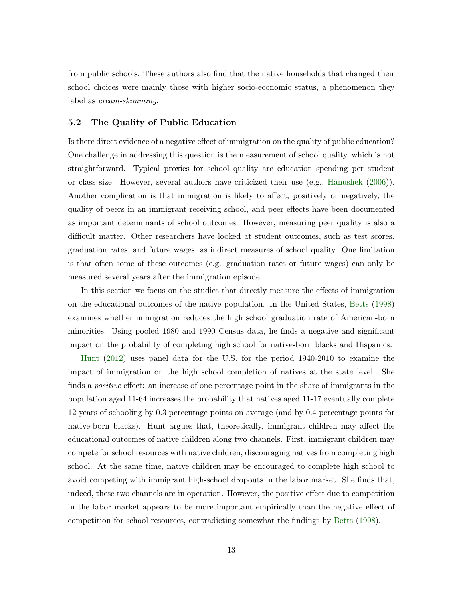from public schools. These authors also find that the native households that changed their school choices were mainly those with higher socio-economic status, a phenomenon they label as cream-skimming.

#### 5.2 The Quality of Public Education

Is there direct evidence of a negative effect of immigration on the quality of public education? One challenge in addressing this question is the measurement of school quality, which is not straightforward. Typical proxies for school quality are education spending per student or class size. However, several authors have criticized their use (e.g., [Hanushek](#page-20-12) [\(2006\)](#page-20-12)). Another complication is that immigration is likely to affect, positively or negatively, the quality of peers in an immigrant-receiving school, and peer effects have been documented as important determinants of school outcomes. However, measuring peer quality is also a difficult matter. Other researchers have looked at student outcomes, such as test scores, graduation rates, and future wages, as indirect measures of school quality. One limitation is that often some of these outcomes (e.g. graduation rates or future wages) can only be measured several years after the immigration episode.

In this section we focus on the studies that directly measure the effects of immigration on the educational outcomes of the native population. In the United States, [Betts](#page-19-14) [\(1998\)](#page-19-14) examines whether immigration reduces the high school graduation rate of American-born minorities. Using pooled 1980 and 1990 Census data, he finds a negative and significant impact on the probability of completing high school for native-born blacks and Hispanics.

[Hunt](#page-20-13) [\(2012\)](#page-20-13) uses panel data for the U.S. for the period 1940-2010 to examine the impact of immigration on the high school completion of natives at the state level. She finds a *positive* effect: an increase of one percentage point in the share of immigrants in the population aged 11-64 increases the probability that natives aged 11-17 eventually complete 12 years of schooling by 0.3 percentage points on average (and by 0.4 percentage points for native-born blacks). Hunt argues that, theoretically, immigrant children may affect the educational outcomes of native children along two channels. First, immigrant children may compete for school resources with native children, discouraging natives from completing high school. At the same time, native children may be encouraged to complete high school to avoid competing with immigrant high-school dropouts in the labor market. She finds that, indeed, these two channels are in operation. However, the positive effect due to competition in the labor market appears to be more important empirically than the negative effect of competition for school resources, contradicting somewhat the findings by [Betts](#page-19-14) [\(1998\)](#page-19-14).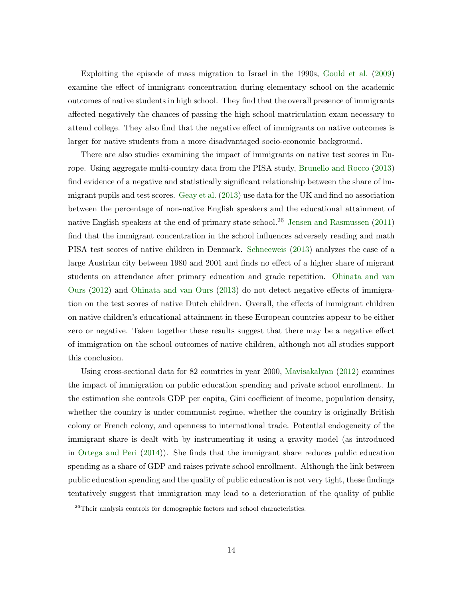Exploiting the episode of mass migration to Israel in the 1990s, [Gould et al.](#page-20-14) [\(2009\)](#page-20-14) examine the effect of immigrant concentration during elementary school on the academic outcomes of native students in high school. They find that the overall presence of immigrants affected negatively the chances of passing the high school matriculation exam necessary to attend college. They also find that the negative effect of immigrants on native outcomes is larger for native students from a more disadvantaged socio-economic background.

There are also studies examining the impact of immigrants on native test scores in Europe. Using aggregate multi-country data from the PISA study, [Brunello and Rocco](#page-19-15) [\(2013\)](#page-19-15) find evidence of a negative and statistically significant relationship between the share of immigrant pupils and test scores. [Geay et al.](#page-20-15) [\(2013\)](#page-20-15) use data for the UK and find no association between the percentage of non-native English speakers and the educational attainment of native English speakers at the end of primary state school.<sup>26</sup> [Jensen and Rasmussen](#page-20-16)  $(2011)$ find that the immigrant concentration in the school influences adversely reading and math PISA test scores of native children in Denmark. [Schneeweis](#page-21-13) [\(2013\)](#page-21-13) analyzes the case of a large Austrian city between 1980 and 2001 and finds no effect of a higher share of migrant students on attendance after primary education and grade repetition. [Ohinata and van](#page-21-14) [Ours](#page-21-14) [\(2012\)](#page-21-14) and [Ohinata and van Ours](#page-21-15) [\(2013\)](#page-21-15) do not detect negative effects of immigration on the test scores of native Dutch children. Overall, the effects of immigrant children on native children's educational attainment in these European countries appear to be either zero or negative. Taken together these results suggest that there may be a negative effect of immigration on the school outcomes of native children, although not all studies support this conclusion.

Using cross-sectional data for 82 countries in year 2000, [Mavisakalyan](#page-21-16) [\(2012\)](#page-21-16) examines the impact of immigration on public education spending and private school enrollment. In the estimation she controls GDP per capita, Gini coefficient of income, population density, whether the country is under communist regime, whether the country is originally British colony or French colony, and openness to international trade. Potential endogeneity of the immigrant share is dealt with by instrumenting it using a gravity model (as introduced in [Ortega and Peri](#page-21-17) [\(2014\)](#page-21-17)). She finds that the immigrant share reduces public education spending as a share of GDP and raises private school enrollment. Although the link between public education spending and the quality of public education is not very tight, these findings tentatively suggest that immigration may lead to a deterioration of the quality of public

<sup>26</sup>Their analysis controls for demographic factors and school characteristics.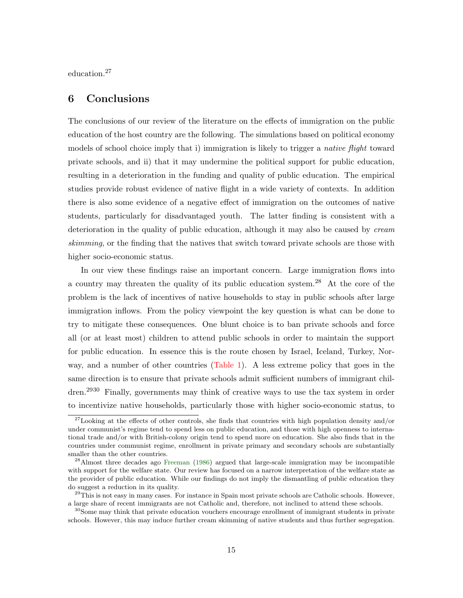${\rm education.}^{27}$ 

### <span id="page-17-0"></span>6 Conclusions

The conclusions of our review of the literature on the effects of immigration on the public education of the host country are the following. The simulations based on political economy models of school choice imply that i) immigration is likely to trigger a *native flight* toward private schools, and ii) that it may undermine the political support for public education, resulting in a deterioration in the funding and quality of public education. The empirical studies provide robust evidence of native flight in a wide variety of contexts. In addition there is also some evidence of a negative effect of immigration on the outcomes of native students, particularly for disadvantaged youth. The latter finding is consistent with a deterioration in the quality of public education, although it may also be caused by cream skimming, or the finding that the natives that switch toward private schools are those with higher socio-economic status.

In our view these findings raise an important concern. Large immigration flows into a country may threaten the quality of its public education system.<sup>28</sup> At the core of the problem is the lack of incentives of native households to stay in public schools after large immigration inflows. From the policy viewpoint the key question is what can be done to try to mitigate these consequences. One blunt choice is to ban private schools and force all (or at least most) children to attend public schools in order to maintain the support for public education. In essence this is the route chosen by Israel, Iceland, Turkey, Nor-way, and a number of other countries [\(Table 1\)](#page-23-0). A less extreme policy that goes in the same direction is to ensure that private schools admit sufficient numbers of immigrant children.<sup>2930</sup> Finally, governments may think of creative ways to use the tax system in order to incentivize native households, particularly those with higher socio-economic status, to

<sup>&</sup>lt;sup>27</sup>Looking at the effects of other controls, she finds that countries with high population density and/or under communist's regime tend to spend less on public education, and those with high openness to international trade and/or with British-colony origin tend to spend more on education. She also finds that in the countries under communist regime, enrollment in private primary and secondary schools are substantially smaller than the other countries.

<sup>&</sup>lt;sup>28</sup>Almost three decades ago [Freeman](#page-20-17) [\(1986\)](#page-20-17) argued that large-scale immigration may be incompatible with support for the welfare state. Our review has focused on a narrow interpretation of the welfare state as the provider of public education. While our findings do not imply the dismantling of public education they do suggest a reduction in its quality.

 $^{29}$ This is not easy in many cases. For instance in Spain most private schools are Catholic schools. However, a large share of recent immigrants are not Catholic and, therefore, not inclined to attend these schools.

<sup>&</sup>lt;sup>30</sup>Some may think that private education vouchers encourage enrollment of immigrant students in private schools. However, this may induce further cream skimming of native students and thus further segregation.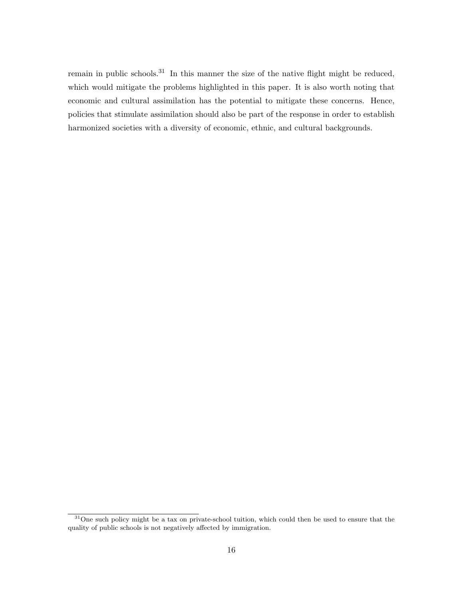remain in public schools.<sup>31</sup> In this manner the size of the native flight might be reduced, which would mitigate the problems highlighted in this paper. It is also worth noting that economic and cultural assimilation has the potential to mitigate these concerns. Hence, policies that stimulate assimilation should also be part of the response in order to establish harmonized societies with a diversity of economic, ethnic, and cultural backgrounds.

<sup>&</sup>lt;sup>31</sup>One such policy might be a tax on private-school tuition, which could then be used to ensure that the quality of public schools is not negatively affected by immigration.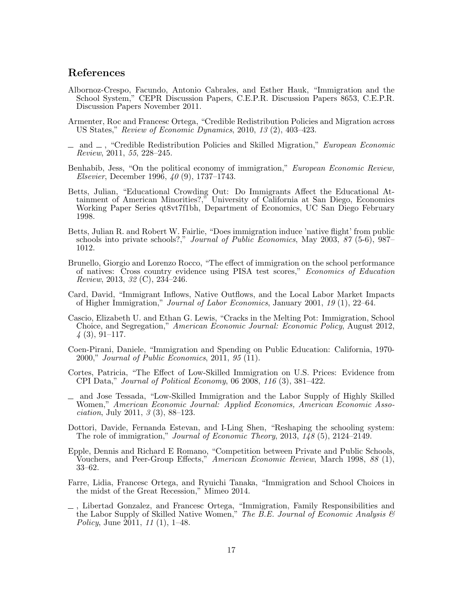## References

- <span id="page-19-11"></span>Albornoz-Crespo, Facundo, Antonio Cabrales, and Esther Hauk, "Immigration and the School System," CEPR Discussion Papers, C.E.P.R. Discussion Papers 8653, C.E.P.R. Discussion Papers November 2011.
- <span id="page-19-6"></span>Armenter, Roc and Francesc Ortega, "Credible Redistribution Policies and Migration across US States," Review of Economic Dynamics, 2010, 13 (2), 403–423.
- <span id="page-19-7"></span> $\Box$  and  $\Box$ , "Credible Redistribution Policies and Skilled Migration," European Economic Review, 2011, 55, 228–245.
- <span id="page-19-10"></span>Benhabib, Jess, "On the political economy of immigration," *European Economic Review*, Elsevier, December 1996, 40 (9), 1737–1743.
- <span id="page-19-14"></span>Betts, Julian, "Educational Crowding Out: Do Immigrants Affect the Educational Attainment of American Minorities?," University of California at San Diego, Economics Working Paper Series qt8vt7f1bh, Department of Economics, UC San Diego February 1998.
- <span id="page-19-12"></span>Betts, Julian R. and Robert W. Fairlie, "Does immigration induce 'native flight' from public schools into private schools?," Journal of Public Economics, May 2003, 87 (5-6), 987– 1012.
- <span id="page-19-15"></span>Brunello, Giorgio and Lorenzo Rocco, "The effect of immigration on the school performance of natives: Cross country evidence using PISA test scores," Economics of Education Review, 2013, 32 (C), 234–246.
- <span id="page-19-3"></span>Card, David, "Immigrant Inflows, Native Outflows, and the Local Labor Market Impacts of Higher Immigration," Journal of Labor Economics, January 2001, 19 (1), 22–64.
- <span id="page-19-5"></span>Cascio, Elizabeth U. and Ethan G. Lewis, "Cracks in the Melting Pot: Immigration, School Choice, and Segregation," American Economic Journal: Economic Policy, August 2012,  $\neq$  (3), 91–117.
- <span id="page-19-1"></span>Coen-Pirani, Daniele, "Immigration and Spending on Public Education: California, 1970- 2000," Journal of Public Economics, 2011, 95 (11).
- <span id="page-19-4"></span>Cortes, Patricia, "The Effect of Low-Skilled Immigration on U.S. Prices: Evidence from CPI Data," Journal of Political Economy, 06 2008, 116 (3), 381–422.
- <span id="page-19-9"></span>and Jose Tessada, "Low-Skilled Immigration and the Labor Supply of Highly Skilled Women," American Economic Journal: Applied Economics, American Economic Association, July 2011, 3 (3), 88–123.
- <span id="page-19-8"></span>Dottori, Davide, Fernanda Estevan, and I-Ling Shen, "Reshaping the schooling system: The role of immigration," Journal of Economic Theory, 2013, 148 (5), 2124–2149.
- <span id="page-19-2"></span>Epple, Dennis and Richard E Romano, "Competition between Private and Public Schools, Vouchers, and Peer-Group Effects," American Economic Review, March 1998, 88 (1), 33–62.
- <span id="page-19-13"></span>Farre, Lidia, Francesc Ortega, and Ryuichi Tanaka, "Immigration and School Choices in the midst of the Great Recession," Mimeo 2014.
- <span id="page-19-0"></span>, Libertad Gonzalez, and Francesc Ortega, "Immigration, Family Responsibilities and the Labor Supply of Skilled Native Women," The B.E. Journal of Economic Analysis  $\mathcal{B}$ Policy, June 2011, 11 (1), 1–48.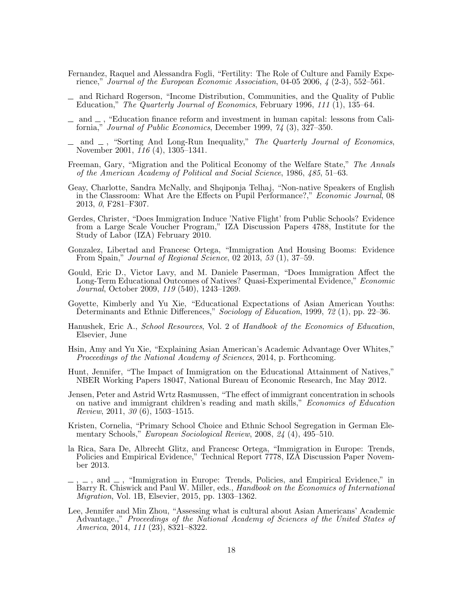- <span id="page-20-5"></span>Fernandez, Raquel and Alessandra Fogli, "Fertility: The Role of Culture and Family Experience," Journal of the European Economic Association, 04-05 2006, 4 (2-3), 552–561.
- <span id="page-20-8"></span> $\Box$  and Richard Rogerson, "Income Distribution, Communities, and the Quality of Public Education," The Quarterly Journal of Economics, February 1996, 111 (1), 135–64.
- <span id="page-20-0"></span> $\Box$  and  $\Box$ , "Education finance reform and investment in human capital: lessons from California," Journal of Public Economics, December 1999, 74 (3), 327–350.
- <span id="page-20-1"></span>and  $\Box$ , "Sorting And Long-Run Inequality," The Quarterly Journal of Economics, November 2001, 116 (4), 1305–1341.
- <span id="page-20-17"></span>Freeman, Gary, "Migration and the Political Economy of the Welfare State," The Annals of the American Academy of Political and Social Science, 1986, 485, 51–63.
- <span id="page-20-15"></span>Geay, Charlotte, Sandra McNally, and Shqiponja Telhaj, "Non-native Speakers of English in the Classroom: What Are the Effects on Pupil Performance?," Economic Journal, 08 2013, 0, F281–F307.
- <span id="page-20-11"></span>Gerdes, Christer, "Does Immigration Induce 'Native Flight' from Public Schools? Evidence from a Large Scale Voucher Program," IZA Discussion Papers 4788, Institute for the Study of Labor (IZA) February 2010.
- <span id="page-20-2"></span>Gonzalez, Libertad and Francesc Ortega, "Immigration And Housing Booms: Evidence From Spain," Journal of Regional Science, 02 2013, 53 (1), 37–59.
- <span id="page-20-14"></span>Gould, Eric D., Victor Lavy, and M. Daniele Paserman, "Does Immigration Affect the Long-Term Educational Outcomes of Natives? Quasi-Experimental Evidence," Economic Journal, October 2009, 119 (540), 1243–1269.
- <span id="page-20-3"></span>Goyette, Kimberly and Yu Xie, "Educational Expectations of Asian American Youths: Determinants and Ethnic Differences," Sociology of Education, 1999, 72 (1), pp. 22-36.
- <span id="page-20-12"></span>Hanushek, Eric A., School Resources, Vol. 2 of Handbook of the Economics of Education, Elsevier, June
- <span id="page-20-4"></span>Hsin, Amy and Yu Xie, "Explaining Asian American's Academic Advantage Over Whites," Proceedings of the National Academy of Sciences, 2014, p. Forthcoming.
- <span id="page-20-13"></span>Hunt, Jennifer, "The Impact of Immigration on the Educational Attainment of Natives," NBER Working Papers 18047, National Bureau of Economic Research, Inc May 2012.
- <span id="page-20-16"></span>Jensen, Peter and Astrid Wrtz Rasmussen, "The effect of immigrant concentration in schools on native and immigrant children's reading and math skills," Economics of Education Review, 2011,  $30(6)$ , 1503–1515.
- <span id="page-20-10"></span>Kristen, Cornelia, "Primary School Choice and Ethnic School Segregation in German Elementary Schools," European Sociological Review, 2008, 24 (4), 495–510.
- <span id="page-20-9"></span>la Rica, Sara De, Albrecht Glitz, and Francesc Ortega, "Immigration in Europe: Trends, Policies and Empirical Evidence," Technical Report 7778, IZA Discussion Paper November 2013.
- <span id="page-20-7"></span> $\frac{1}{10}$ , and  $\frac{1}{10}$ , "Immigration in Europe: Trends, Policies, and Empirical Evidence," in Barry R. Chiswick and Paul W. Miller, eds., Handbook on the Economics of International Migration, Vol. 1B, Elsevier, 2015, pp. 1303–1362.
- <span id="page-20-6"></span>Lee, Jennifer and Min Zhou, "Assessing what is cultural about Asian Americans' Academic Advantage.," Proceedings of the National Academy of Sciences of the United States of America, 2014, 111 (23), 8321–8322.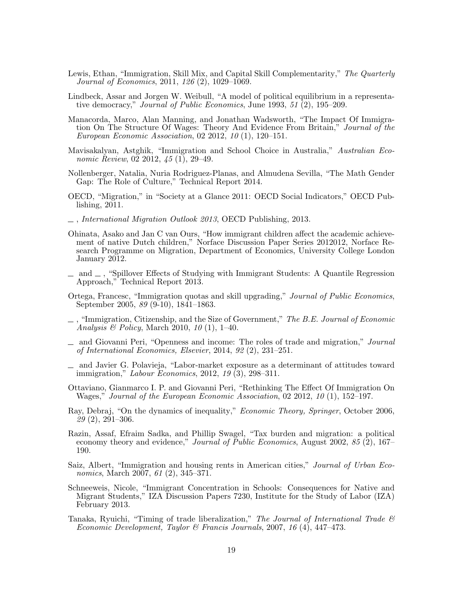- <span id="page-21-10"></span>Lewis, Ethan, "Immigration, Skill Mix, and Capital Skill Complementarity," The Quarterly Journal of Economics, 2011, 126 (2), 1029–1069.
- <span id="page-21-5"></span>Lindbeck, Assar and Jorgen W. Weibull, "A model of political equilibrium in a representative democracy," Journal of Public Economics, June 1993, 51 (2), 195–209.
- <span id="page-21-1"></span>Manacorda, Marco, Alan Manning, and Jonathan Wadsworth, "The Impact Of Immigration On The Structure Of Wages: Theory And Evidence From Britain," Journal of the European Economic Association, 02 2012, 10 (1), 120–151.
- <span id="page-21-16"></span>Mavisakalyan, Astghik, "Immigration and School Choice in Australia," Australian Economic Review, 02 2012, 45 (1), 29–49.
- <span id="page-21-4"></span>Nollenberger, Natalia, Nuria Rodriguez-Planas, and Almudena Sevilla, "The Math Gender Gap: The Role of Culture," Technical Report 2014.
- <span id="page-21-18"></span>OECD, "Migration," in "Society at a Glance 2011: OECD Social Indicators," OECD Publishing, 2011.
- <span id="page-21-0"></span> $\_\_$ , International Migration Outlook 2013, OECD Publishing, 2013.
- <span id="page-21-14"></span>Ohinata, Asako and Jan C van Ours, "How immigrant children affect the academic achievement of native Dutch children," Norface Discussion Paper Series 2012012, Norface Research Programme on Migration, Department of Economics, University College London January 2012.
- <span id="page-21-15"></span> $\Box$  and  $\Box$ , "Spillover Effects of Studying with Immigrant Students: A Quantile Regression Approach," Technical Report 2013.
- <span id="page-21-11"></span>Ortega, Francesc, "Immigration quotas and skill upgrading," Journal of Public Economics, September 2005, 89 (9-10), 1841–1863.
- <span id="page-21-7"></span> $\Box$ , "Immigration, Citizenship, and the Size of Government," The B.E. Journal of Economic Analysis & Policy, March 2010, 10 (1), 1–40.
- <span id="page-21-17"></span> $\Delta$  and Giovanni Peri, "Openness and income: The roles of trade and migration," Journal of International Economics, Elsevier, 2014, 92 (2), 231–251.
- <span id="page-21-12"></span>and Javier G. Polavieja, "Labor-market exposure as a determinant of attitudes toward immigration," Labour Economics, 2012, 19 (3), 298–311.
- <span id="page-21-2"></span>Ottaviano, Gianmarco I. P. and Giovanni Peri, "Rethinking The Effect Of Immigration On Wages," Journal of the European Economic Association, 02 2012, 10 (1), 152–197.
- <span id="page-21-8"></span>Ray, Debraj, "On the dynamics of inequality," Economic Theory, Springer, October 2006,  $29(2), 291-306.$
- <span id="page-21-6"></span>Razin, Assaf, Efraim Sadka, and Phillip Swagel, "Tax burden and migration: a political economy theory and evidence," Journal of Public Economics, August 2002, 85  $(2)$ , 167– 190.
- <span id="page-21-3"></span>Saiz, Albert, "Immigration and housing rents in American cities," Journal of Urban Economics, March 2007, 61 (2), 345–371.
- <span id="page-21-13"></span>Schneeweis, Nicole, "Immigrant Concentration in Schools: Consequences for Native and Migrant Students," IZA Discussion Papers 7230, Institute for the Study of Labor (IZA) February 2013.
- <span id="page-21-9"></span>Tanaka, Ryuichi, "Timing of trade liberalization," The Journal of International Trade  $\mathcal{C}$ Economic Development, Taylor & Francis Journals, 2007, 16 (4), 447–473.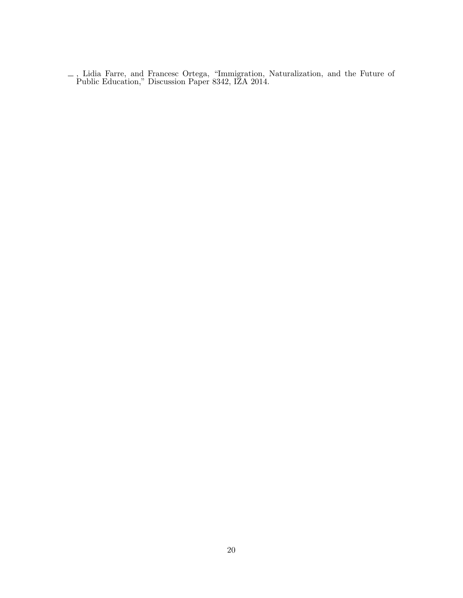<span id="page-22-0"></span>, Lidia Farre, and Francesc Ortega, "Immigration, Naturalization, and the Future of Public Education," Discussion Paper 8342, IZA 2014.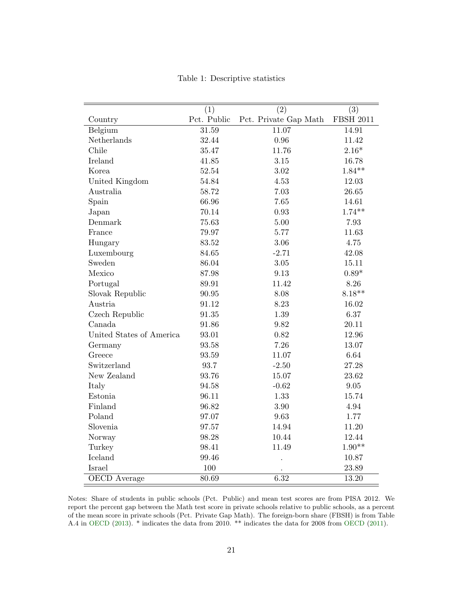| Table 1: Descriptive statistics |  |
|---------------------------------|--|
|---------------------------------|--|

<span id="page-23-0"></span>

|                          | (1)         | (2)                   | (3)              |
|--------------------------|-------------|-----------------------|------------------|
| Country                  | Pct. Public | Pct. Private Gap Math | <b>FBSH 2011</b> |
| Belgium                  | 31.59       | 11.07                 | 14.91            |
| Netherlands              | 32.44       | 0.96                  | 11.42            |
| Chile                    | 35.47       | 11.76                 | $2.16*$          |
| Ireland                  | 41.85       | 3.15                  | 16.78            |
| Korea                    | 52.54       | 3.02                  | $1.84**$         |
| United Kingdom           | 54.84       | 4.53                  | 12.03            |
| Australia                | 58.72       | 7.03                  | 26.65            |
| Spain                    | 66.96       | 7.65                  | 14.61            |
| Japan                    | 70.14       | 0.93                  | $1.74**$         |
| Denmark                  | 75.63       | 5.00                  | 7.93             |
| France                   | 79.97       | 5.77                  | 11.63            |
| Hungary                  | 83.52       | 3.06                  | 4.75             |
| Luxembourg               | 84.65       | $-2.71$               | 42.08            |
| Sweden                   | 86.04       | $3.05\,$              | 15.11            |
| Mexico                   | 87.98       | 9.13                  | $0.89^{\ast}$    |
| Portugal                 | 89.91       | 11.42                 | 8.26             |
| Slovak Republic          | 90.95       | 8.08                  | $8.18**$         |
| Austria                  | 91.12       | 8.23                  | 16.02            |
| Czech Republic           | 91.35       | 1.39                  | 6.37             |
| Canada                   | 91.86       | 9.82                  | 20.11            |
| United States of America | 93.01       | 0.82                  | 12.96            |
| Germany                  | 93.58       | 7.26                  | 13.07            |
| Greece                   | 93.59       | 11.07                 | 6.64             |
| Switzerland              | 93.7        | $-2.50$               | 27.28            |
| New Zealand              | 93.76       | 15.07                 | 23.62            |
| Italy                    | 94.58       | $-0.62$               | $9.05\,$         |
| Estonia                  | 96.11       | 1.33                  | 15.74            |
| Finland                  | 96.82       | 3.90                  | 4.94             |
| Poland                   | 97.07       | 9.63                  | 1.77             |
| Slovenia                 | 97.57       | 14.94                 | 11.20            |
| Norway                   | 98.28       | 10.44                 | 12.44            |
| Turkey                   | 98.41       | 11.49                 | $1.90**$         |
| Iceland                  | 99.46       |                       | 10.87            |
| Israel                   | 100         |                       | 23.89            |
| <b>OECD</b> Average      | 80.69       | 6.32                  | 13.20            |

Notes: Share of students in public schools (Pct. Public) and mean test scores are from PISA 2012. We report the percent gap between the Math test score in private schools relative to public schools, as a percent of the mean score in private schools (Pct. Private Gap Math). The foreign-born share (FBSH) is from Table A.4 in [OECD](#page-21-0) [\(2013\)](#page-21-0). \* indicates the data from 2010. \*\* indicates the data for 2008 from [OECD](#page-21-18) [\(2011\)](#page-21-18).